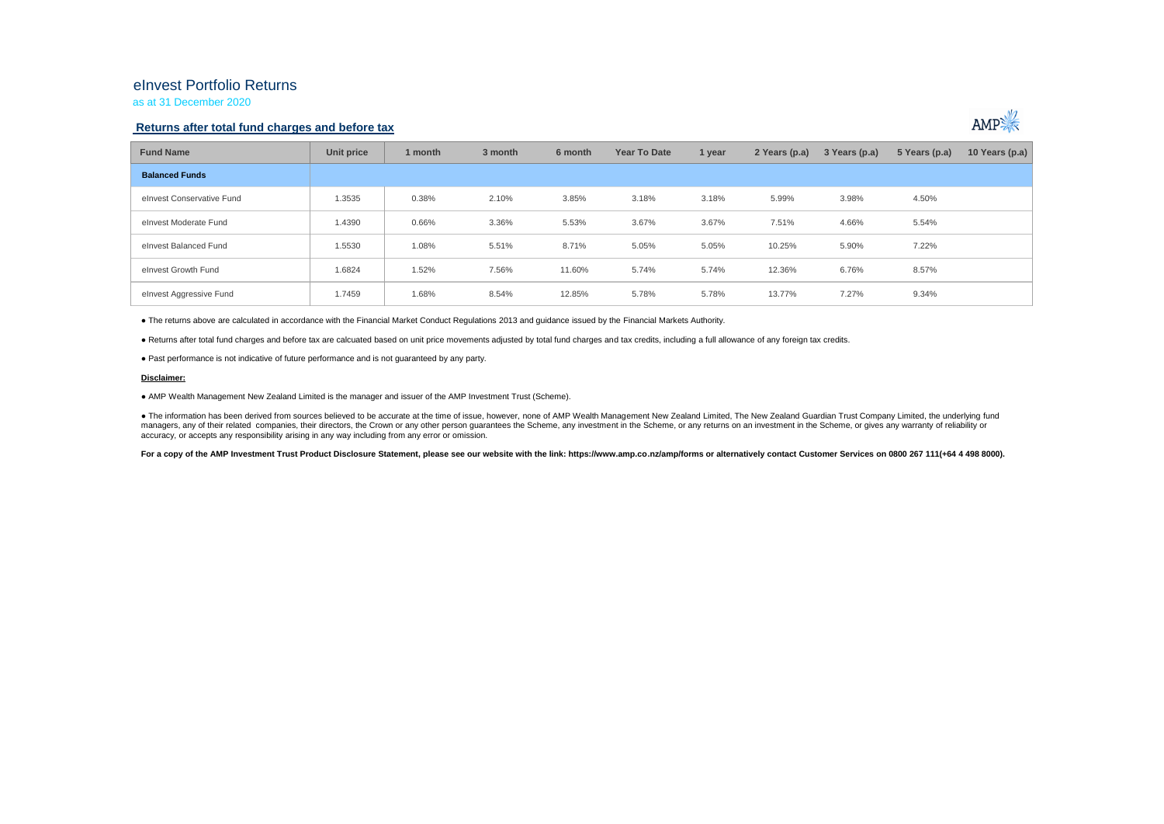## eInvest Portfolio Returns

as at 31 December 2020

### **Returns after total fund charges and before tax**



| <b>Fund Name</b>          | Unit price | 1 month | 3 month | 6 month | <b>Year To Date</b> | 1 year | 2 Years (p.a) | 3 Years (p.a) | 5 Years (p.a) | 10 Years (p.a) $ $ |
|---------------------------|------------|---------|---------|---------|---------------------|--------|---------------|---------------|---------------|--------------------|
| <b>Balanced Funds</b>     |            |         |         |         |                     |        |               |               |               |                    |
| elnvest Conservative Fund | 1.3535     | 0.38%   | 2.10%   | 3.85%   | 3.18%               | 3.18%  | 5.99%         | 3.98%         | 4.50%         |                    |
| elnyest Moderate Fund     | 1.4390     | 0.66%   | 3.36%   | 5.53%   | 3.67%               | 3.67%  | 7.51%         | 4.66%         | 5.54%         |                    |
| elnyest Balanced Fund     | 1.5530     | 1.08%   | 5.51%   | 8.71%   | 5.05%               | 5.05%  | 10.25%        | 5.90%         | 7.22%         |                    |
| elnvest Growth Fund       | 1.6824     | 1.52%   | 7.56%   | 11.60%  | 5.74%               | 5.74%  | 12.36%        | 6.76%         | 8.57%         |                    |
| elnvest Aggressive Fund   | 1.7459     | 1.68%   | 8.54%   | 12.85%  | 5.78%               | 5.78%  | 13.77%        | 7.27%         | 9.34%         |                    |

● The returns above are calculated in accordance with the Financial Market Conduct Regulations 2013 and guidance issued by the Financial Markets Authority.

● Returns after total fund charges and before tax are calcuated based on unit price movements adjusted by total fund charges and tax credits, including a full allowance of any foreign tax credits.

● Past performance is not indicative of future performance and is not guaranteed by any party.

#### **Disclaimer:**

● AMP Wealth Management New Zealand Limited is the manager and issuer of the AMP Investment Trust (Scheme).

● The information has been derived from sources believed to be accurate at the time of issue, however, none of AMP Wealth Management New Zealand Limited, The New Zealand Guardian Trust Company Limited, the underlying fund managers, any of their related companies, their directors, the Crown or any other person quarantees the Scheme, any investment in the Scheme, or any returns on an investment in the Scheme, or qives any warranty of reliabil accuracy, or accepts any responsibility arising in any way including from any error or omission.

For a copy of the AMP Investment Trust Product Disclosure Statement, please see our website with the link: https://www.amp.co.nz/amp/forms or alternatively contact Customer Services on 0800 267 111(+64 4 498 8000).